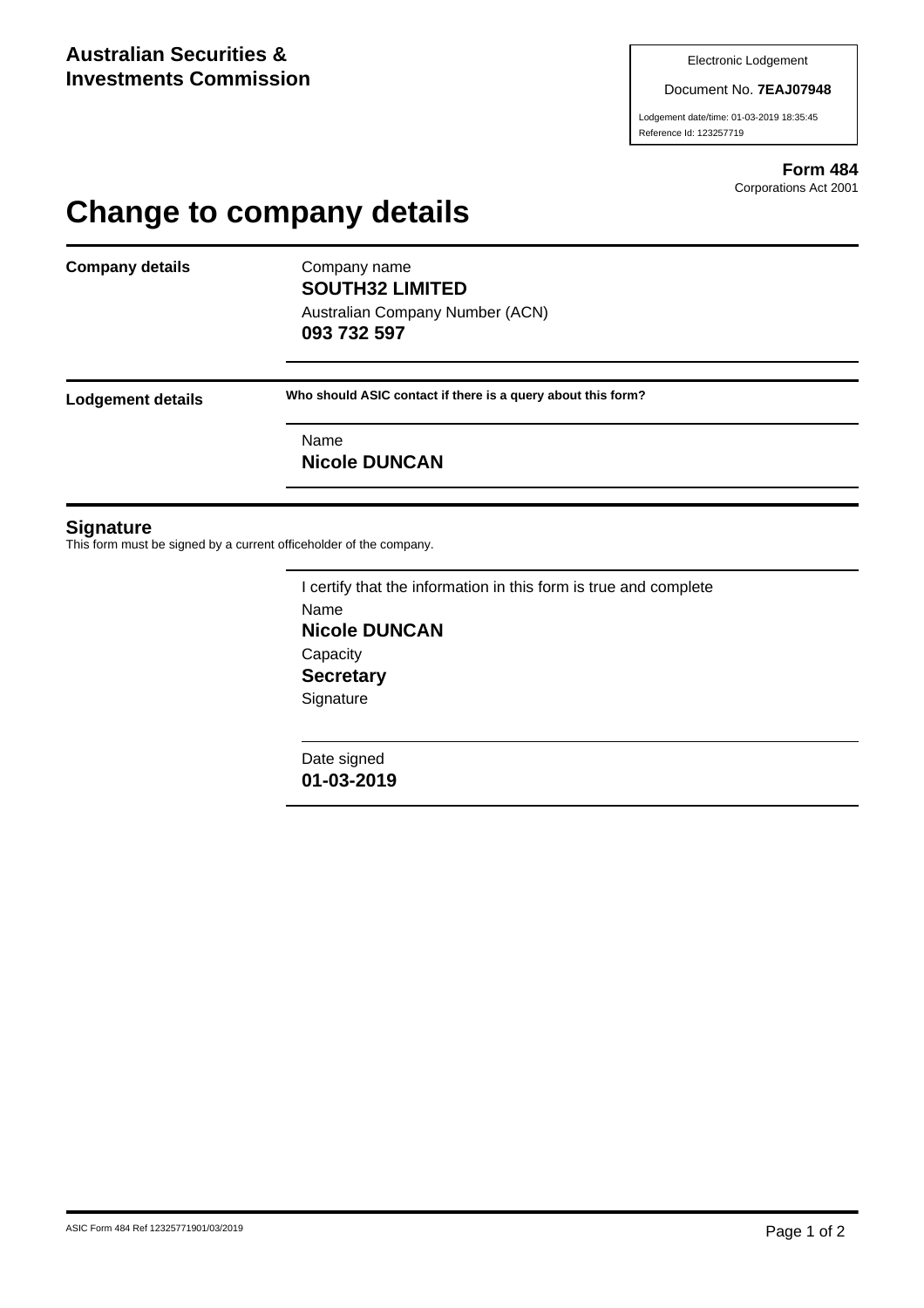Document No. **7EAJ07948**

Lodgement date/time: 01-03-2019 18:35:45 Reference Id: 123257719

> **Form 484** Corporations Act 2001

## **Change to company details**

**Company details** Company name

**SOUTH32 LIMITED** Australian Company Number (ACN) **093 732 597**

**Lodgement details Who should ASIC contact if there is a query about this form?**

Name **Nicole DUNCAN**

## **Signature**

This form must be signed by a current officeholder of the company.

I certify that the information in this form is true and complete Name **Nicole DUNCAN Capacity Secretary Signature** 

Date signed **01-03-2019**